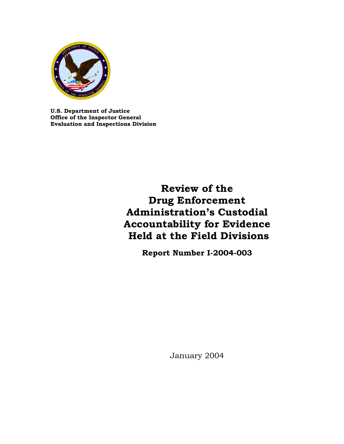

**U.S. Department of Justice Office of the Inspector General Evaluation and Inspections Division**

# **Review of the Drug Enforcement Administration's Custodial Accountability for Evidence Held at the Field Divisions**

**Report Number I-2004-003** 

January 2004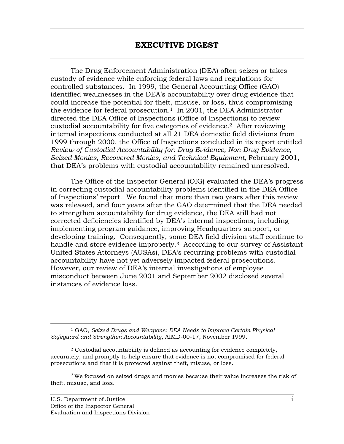The Drug Enforcement Administration (DEA) often seizes or takes custody of evidence while enforcing federal laws and regulations for controlled substances. In 1999, the General Accounting Office (GAO) identified weaknesses in the DEA's accountability over drug evidence that could increase the potential for theft, misuse, or loss, thus compromising the evidence for federal prosecution.<sup>1</sup> In 2001, the DEA Administrator directed the DEA Office of Inspections (Office of Inspections) to review custodial accountability for five categories of evidence.2 After reviewing internal inspections conducted at all 21 DEA domestic field divisions from 1999 through 2000, the Office of Inspections concluded in its report entitled *Review of Custodial Accountability for: Drug Evidence, Non-Drug Evidence, Seized Monies, Recovered Monies, and Technical Equipment,* February 2001, that DEA's problems with custodial accountability remained unresolved.

The Office of the Inspector General (OIG) evaluated the DEA's progress in correcting custodial accountability problems identified in the DEA Office of Inspections' report. We found that more than two years after this review was released, and four years after the GAO determined that the DEA needed to strengthen accountability for drug evidence, the DEA still had not corrected deficiencies identified by DEA's internal inspections, including implementing program guidance, improving Headquarters support, or developing training. Consequently, some DEA field division staff continue to handle and store evidence improperly.<sup>3</sup> According to our survey of Assistant United States Attorneys (AUSAs), DEA's recurring problems with custodial accountability have not yet adversely impacted federal prosecutions. However, our review of DEA's internal investigations of employee misconduct between June 2001 and September 2002 disclosed several instances of evidence loss.

 <sup>1</sup> GAO, *Seized Drugs and Weapons: DEA Needs to Improve Certain Physical Safeguard and Strengthen Accountability*, AIMD-00-17, November 1999.

<sup>2</sup> Custodial accountability is defined as accounting for evidence completely, accurately, and promptly to help ensure that evidence is not compromised for federal prosecutions and that it is protected against theft, misuse, or loss.

 $3$  We focused on seized drugs and monies because their value increases the risk of theft, misuse, and loss.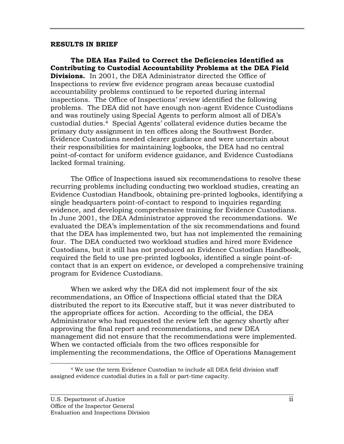#### **RESULTS IN BRIEF**

**The DEA Has Failed to Correct the Deficiencies Identified as Contributing to Custodial Accountability Problems at the DEA Field Divisions.** In 2001, the DEA Administrator directed the Office of Inspections to review five evidence program areas because custodial accountability problems continued to be reported during internal inspections. The Office of Inspections' review identified the following problems. The DEA did not have enough non-agent Evidence Custodians and was routinely using Special Agents to perform almost all of DEA's custodial duties.4 Special Agents' collateral evidence duties became the primary duty assignment in ten offices along the Southwest Border. Evidence Custodians needed clearer guidance and were uncertain about their responsibilities for maintaining logbooks, the DEA had no central point-of-contact for uniform evidence guidance, and Evidence Custodians lacked formal training.

The Office of Inspections issued six recommendations to resolve these recurring problems including conducting two workload studies, creating an Evidence Custodian Handbook, obtaining pre-printed logbooks, identifying a single headquarters point-of-contact to respond to inquiries regarding evidence, and developing comprehensive training for Evidence Custodians. In June 2001, the DEA Administrator approved the recommendations. We evaluated the DEA's implementation of the six recommendations and found that the DEA has implemented two, but has not implemented the remaining four. The DEA conducted two workload studies and hired more Evidence Custodians, but it still has not produced an Evidence Custodian Handbook, required the field to use pre-printed logbooks, identified a single point-ofcontact that is an expert on evidence, or developed a comprehensive training program for Evidence Custodians.

When we asked why the DEA did not implement four of the six recommendations, an Office of Inspections official stated that the DEA distributed the report to its Executive staff, but it was never distributed to the appropriate offices for action. According to the official, the DEA Administrator who had requested the review left the agency shortly after approving the final report and recommendations, and new DEA management did not ensure that the recommendations were implemented. When we contacted officials from the two offices responsible for implementing the recommendations, the Office of Operations Management

 <sup>4</sup> We use the term Evidence Custodian to include all DEA field division staff assigned evidence custodial duties in a full or part-time capacity.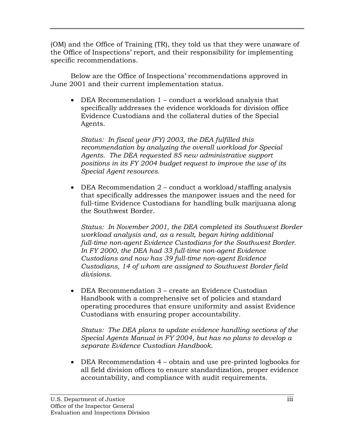(OM) and the Office of Training (TR), they told us that they were unaware of the Office of Inspections' report, and their responsibility for implementing specific recommendations.

Below are the Office of Inspections' recommendations approved in June 2001 and their current implementation status.

• DEA Recommendation 1 – conduct a workload analysis that specifically addresses the evidence workloads for division office Evidence Custodians and the collateral duties of the Special Agents.

*Status: In fiscal year (FY) 2003, the DEA fulfilled this recommendation by analyzing the overall workload for Special Agents. The DEA requested 85 new administrative support positions in its FY 2004 budget request to improve the use of its Special Agent resources.* 

• DEA Recommendation 2 – conduct a workload/staffing analysis that specifically addresses the manpower issues and the need for full-time Evidence Custodians for handling bulk marijuana along the Southwest Border.

*Status: In November 2001, the DEA completed its Southwest Border workload analysis and, as a result, began hiring additional full-time non-agent Evidence Custodians for the Southwest Border. In FY 2000, the DEA had 33 full-time non-agent Evidence Custodians and now has 39 full-time non-agent Evidence Custodians, 14 of whom are assigned to Southwest Border field divisions.*

• DEA Recommendation 3 – create an Evidence Custodian Handbook with a comprehensive set of policies and standard operating procedures that ensure uniformity and assist Evidence Custodians with ensuring proper accountability.

*Status: The DEA plans to update evidence handling sections of the Special Agents Manual in FY 2004, but has no plans to develop a separate Evidence Custodian Handbook.* 

• DEA Recommendation 4 – obtain and use pre-printed logbooks for all field division offices to ensure standardization, proper evidence accountability, and compliance with audit requirements.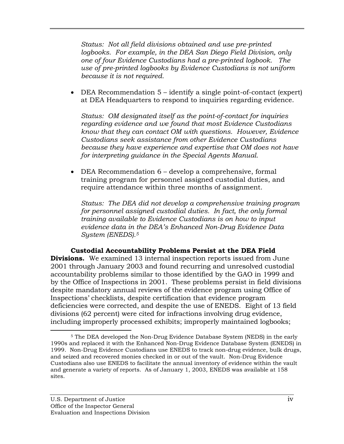*Status: Not all field divisions obtained and use pre-printed*  logbooks. For example, in the DEA San Diego Field Division, only *one of four Evidence Custodians had a pre-printed logbook. The use of pre-printed logbooks by Evidence Custodians is not uniform because it is not required.* 

• DEA Recommendation 5 – identify a single point-of-contact (expert) at DEA Headquarters to respond to inquiries regarding evidence.

*Status: OM designated itself as the point-of-contact for inquiries regarding evidence and we found that most Evidence Custodians know that they can contact OM with questions. However, Evidence Custodians seek assistance from other Evidence Custodians because they have experience and expertise that OM does not have for interpreting guidance in the Special Agents Manual.* 

• DEA Recommendation 6 – develop a comprehensive, formal training program for personnel assigned custodial duties, and require attendance within three months of assignment.

*Status: The DEA did not develop a comprehensive training program for personnel assigned custodial duties. In fact, the only formal training available to Evidence Custodians is on how to input evidence data in the DEA's Enhanced Non-Drug Evidence Data System (ENEDS).5*

 **Custodial Accountability Problems Persist at the DEA Field Divisions.** We examined 13 internal inspection reports issued from June 2001 through January 2003 and found recurring and unresolved custodial accountability problems similar to those identified by the GAO in 1999 and by the Office of Inspections in 2001. These problems persist in field divisions despite mandatory annual reviews of the evidence program using Office of Inspections' checklists, despite certification that evidence program deficiencies were corrected, and despite the use of ENEDS. Eight of 13 field divisions (62 percent) were cited for infractions involving drug evidence, including improperly processed exhibits; improperly maintained logbooks;

 <sup>5</sup> The DEA developed the Non-Drug Evidence Database System (NEDS) in the early 1990s and replaced it with the Enhanced Non-Drug Evidence Database System (ENEDS) in 1999. Non-Drug Evidence Custodians use ENEDS to track non-drug evidence, bulk drugs, and seized and recovered monies checked in or out of the vault. Non-Drug Evidence Custodians also use ENEDS to facilitate the annual inventory of evidence within the vault and generate a variety of reports. As of January 1, 2003, ENEDS was available at 158 sites.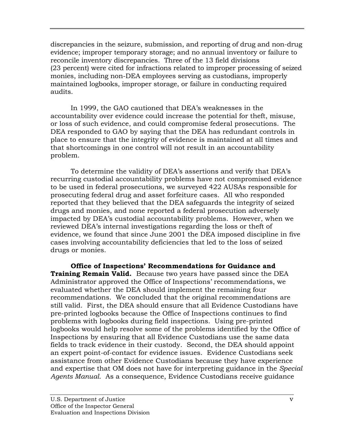discrepancies in the seizure, submission, and reporting of drug and non-drug evidence; improper temporary storage; and no annual inventory or failure to reconcile inventory discrepancies. Three of the 13 field divisions (23 percent) were cited for infractions related to improper processing of seized monies, including non-DEA employees serving as custodians, improperly maintained logbooks, improper storage, or failure in conducting required audits.

In 1999, the GAO cautioned that DEA's weaknesses in the accountability over evidence could increase the potential for theft, misuse, or loss of such evidence, and could compromise federal prosecutions. The DEA responded to GAO by saying that the DEA has redundant controls in place to ensure that the integrity of evidence is maintained at all times and that shortcomings in one control will not result in an accountability problem.

To determine the validity of DEA's assertions and verify that DEA's recurring custodial accountability problems have not compromised evidence to be used in federal prosecutions, we surveyed 422 AUSAs responsible for prosecuting federal drug and asset forfeiture cases. All who responded reported that they believed that the DEA safeguards the integrity of seized drugs and monies, and none reported a federal prosecution adversely impacted by DEA's custodial accountability problems. However, when we reviewed DEA's internal investigations regarding the loss or theft of evidence, we found that since June 2001 the DEA imposed discipline in five cases involving accountability deficiencies that led to the loss of seized drugs or monies.

**Office of Inspections' Recommendations for Guidance and Training Remain Valid.** Because two years have passed since the DEA Administrator approved the Office of Inspections' recommendations, we evaluated whether the DEA should implement the remaining four recommendations. We concluded that the original recommendations are still valid. First, the DEA should ensure that all Evidence Custodians have pre-printed logbooks because the Office of Inspections continues to find problems with logbooks during field inspections. Using pre-printed logbooks would help resolve some of the problems identified by the Office of Inspections by ensuring that all Evidence Custodians use the same data fields to track evidence in their custody. Second, the DEA should appoint an expert point-of-contact for evidence issues. Evidence Custodians seek assistance from other Evidence Custodians because they have experience and expertise that OM does not have for interpreting guidance in the *Special Agents Manual.* As a consequence, Evidence Custodians receive guidance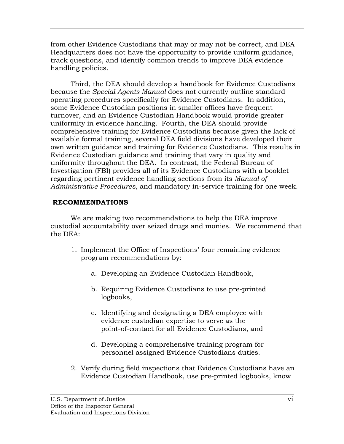from other Evidence Custodians that may or may not be correct, and DEA Headquarters does not have the opportunity to provide uniform guidance, track questions, and identify common trends to improve DEA evidence handling policies.

Third, the DEA should develop a handbook for Evidence Custodians because the *Special Agents Manual* does not currently outline standard operating procedures specifically for Evidence Custodians. In addition, some Evidence Custodian positions in smaller offices have frequent turnover, and an Evidence Custodian Handbook would provide greater uniformity in evidence handling. Fourth, the DEA should provide comprehensive training for Evidence Custodians because given the lack of available formal training, several DEA field divisions have developed their own written guidance and training for Evidence Custodians. This results in Evidence Custodian guidance and training that vary in quality and uniformity throughout the DEA. In contrast, the Federal Bureau of Investigation (FBI) provides all of its Evidence Custodians with a booklet regarding pertinent evidence handling sections from its *Manual of Administrative Procedures*, and mandatory in-service training for one week.

## **RECOMMENDATIONS**

 We are making two recommendations to help the DEA improve custodial accountability over seized drugs and monies. We recommend that the DEA:

- 1. Implement the Office of Inspections' four remaining evidence program recommendations by:
	- a. Developing an Evidence Custodian Handbook,
	- b. Requiring Evidence Custodians to use pre-printed logbooks,
	- c. Identifying and designating a DEA employee with evidence custodian expertise to serve as the point-of-contact for all Evidence Custodians, and
	- d. Developing a comprehensive training program for personnel assigned Evidence Custodians duties.
- 2. Verify during field inspections that Evidence Custodians have an Evidence Custodian Handbook, use pre-printed logbooks, know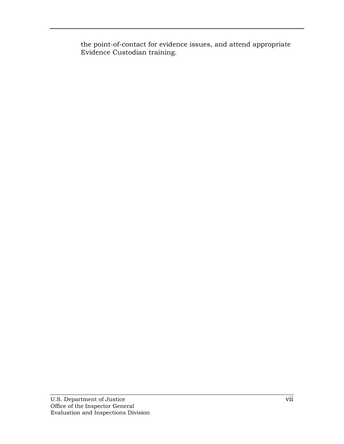the point-of-contact for evidence issues, and attend appropriate Evidence Custodian training.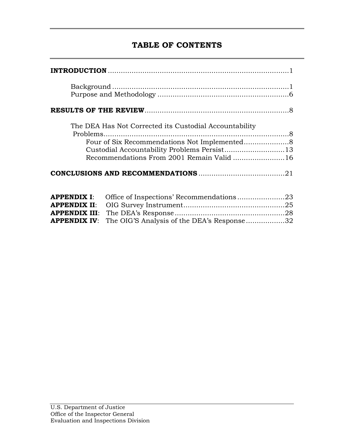# **TABLE OF CONTENTS**

|                                                                                          | The DEA Has Not Corrected its Custodial Accountability<br>Recommendations From 2001 Remain Valid 16 |  |
|------------------------------------------------------------------------------------------|-----------------------------------------------------------------------------------------------------|--|
| <b>APPENDIX I:</b><br><b>APPENDIX II:</b><br><b>APPENDIX III:</b><br><b>APPENDIX IV:</b> | Office of Inspections' Recommendations23<br>The OIG'S Analysis of the DEA's Response32              |  |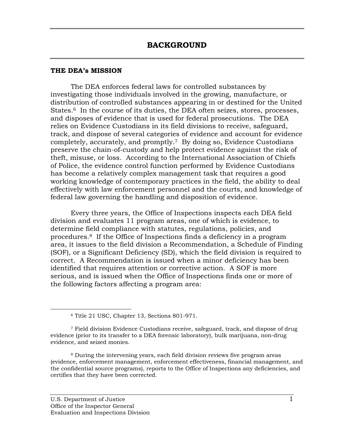#### **THE DEA's MISSION**

The DEA enforces federal laws for controlled substances by investigating those individuals involved in the growing, manufacture, or distribution of controlled substances appearing in or destined for the United States.<sup>6</sup> In the course of its duties, the DEA often seizes, stores, processes, and disposes of evidence that is used for federal prosecutions. The DEA relies on Evidence Custodians in its field divisions to receive, safeguard, track, and dispose of several categories of evidence and account for evidence completely, accurately, and promptly.7 By doing so, Evidence Custodians preserve the chain-of-custody and help protect evidence against the risk of theft, misuse, or loss. According to the International Association of Chiefs of Police, the evidence control function performed by Evidence Custodians has become a relatively complex management task that requires a good working knowledge of contemporary practices in the field, the ability to deal effectively with law enforcement personnel and the courts, and knowledge of federal law governing the handling and disposition of evidence.

Every three years, the Office of Inspections inspects each DEA field division and evaluates 11 program areas, one of which is evidence, to determine field compliance with statutes, regulations, policies, and procedures.8 If the Office of Inspections finds a deficiency in a program area, it issues to the field division a Recommendation, a Schedule of Finding (SOF), or a Significant Deficiency (SD), which the field division is required to correct. A Recommendation is issued when a minor deficiency has been identified that requires attention or corrective action. A SOF is more serious, and is issued when the Office of Inspections finds one or more of the following factors affecting a program area:

8 During the intervening years, each field division reviews five program areas (evidence, enforcement management, enforcement effectiveness, financial management, and the confidential source programs), reports to the Office of Inspections any deficiencies, and certifies that they have been corrected.

 <sup>6</sup> Title 21 USC, Chapter 13, Sections 801-971.

<sup>7</sup> Field division Evidence Custodians receive, safeguard, track, and dispose of drug evidence (prior to its transfer to a DEA forensic laboratory), bulk marijuana, non-drug evidence, and seized monies.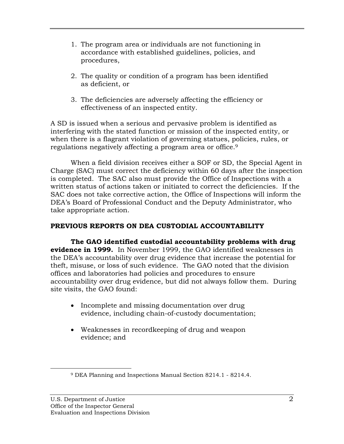- 1. The program area or individuals are not functioning in accordance with established guidelines, policies, and procedures,
- 2. The quality or condition of a program has been identified as deficient, or
- 3. The deficiencies are adversely affecting the efficiency or effectiveness of an inspected entity.

A SD is issued when a serious and pervasive problem is identified as interfering with the stated function or mission of the inspected entity, or when there is a flagrant violation of governing statues, policies, rules, or regulations negatively affecting a program area or office.9

When a field division receives either a SOF or SD, the Special Agent in Charge (SAC) must correct the deficiency within 60 days after the inspection is completed. The SAC also must provide the Office of Inspections with a written status of actions taken or initiated to correct the deficiencies. If the SAC does not take corrective action, the Office of Inspections will inform the DEA's Board of Professional Conduct and the Deputy Administrator, who take appropriate action.

### **PREVIOUS REPORTS ON DEA CUSTODIAL ACCOUNTABILITY**

**The GAO identified custodial accountability problems with drug evidence in 1999.** In November 1999, the GAO identified weaknesses in the DEA's accountability over drug evidence that increase the potential for theft, misuse, or loss of such evidence. The GAO noted that the division offices and laboratories had policies and procedures to ensure accountability over drug evidence, but did not always follow them. During site visits, the GAO found:

- Incomplete and missing documentation over drug evidence, including chain-of-custody documentation;
- Weaknesses in recordkeeping of drug and weapon evidence; and

 <sup>9</sup> DEA Planning and Inspections Manual Section 8214.1 - 8214.4.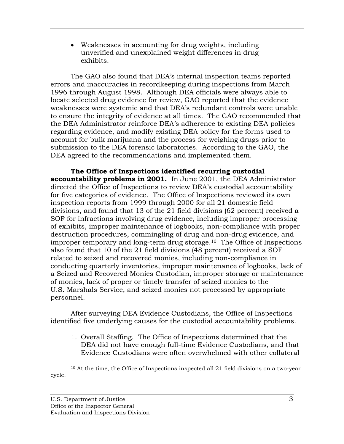• Weaknesses in accounting for drug weights, including unverified and unexplained weight differences in drug exhibits.

The GAO also found that DEA's internal inspection teams reported errors and inaccuracies in recordkeeping during inspections from March 1996 through August 1998. Although DEA officials were always able to locate selected drug evidence for review, GAO reported that the evidence weaknesses were systemic and that DEA's redundant controls were unable to ensure the integrity of evidence at all times. The GAO recommended that the DEA Administrator reinforce DEA's adherence to existing DEA policies regarding evidence, and modify existing DEA policy for the forms used to account for bulk marijuana and the process for weighing drugs prior to submission to the DEA forensic laboratories. According to the GAO, the DEA agreed to the recommendations and implemented them.

**The Office of Inspections identified recurring custodial accountability problems in 2001.** In June 2001, the DEA Administrator directed the Office of Inspections to review DEA's custodial accountability for five categories of evidence. The Office of Inspections reviewed its own inspection reports from 1999 through 2000 for all 21 domestic field divisions, and found that 13 of the 21 field divisions (62 percent) received a SOF for infractions involving drug evidence, including improper processing of exhibits, improper maintenance of logbooks, non-compliance with proper destruction procedures, commingling of drug and non-drug evidence, and improper temporary and long-term drug storage.10 The Office of Inspections also found that 10 of the 21 field divisions (48 percent) received a SOF related to seized and recovered monies, including non-compliance in conducting quarterly inventories, improper maintenance of logbooks, lack of a Seized and Recovered Monies Custodian, improper storage or maintenance of monies, lack of proper or timely transfer of seized monies to the U.S. Marshals Service, and seized monies not processed by appropriate personnel.

After surveying DEA Evidence Custodians, the Office of Inspections identified five underlying causes for the custodial accountability problems.

1. Overall Staffing. The Office of Inspections determined that the DEA did not have enough full-time Evidence Custodians, and that Evidence Custodians were often overwhelmed with other collateral

 <sup>10</sup> At the time, the Office of Inspections inspected all 21 field divisions on a two-year cycle.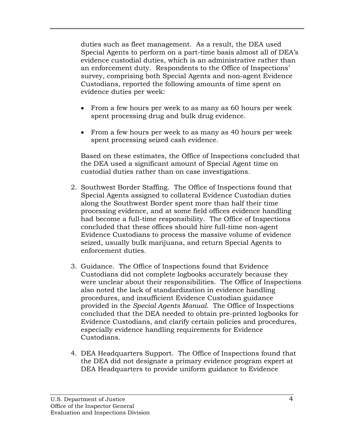duties such as fleet management. As a result, the DEA used Special Agents to perform on a part-time basis almost all of DEA's evidence custodial duties, which is an administrative rather than an enforcement duty. Respondents to the Office of Inspections' survey, comprising both Special Agents and non-agent Evidence Custodians, reported the following amounts of time spent on evidence duties per week:

- From a few hours per week to as many as 60 hours per week spent processing drug and bulk drug evidence.
- From a few hours per week to as many as 40 hours per week spent processing seized cash evidence.

Based on these estimates, the Office of Inspections concluded that the DEA used a significant amount of Special Agent time on custodial duties rather than on case investigations.

- 2. Southwest Border Staffing. The Office of Inspections found that Special Agents assigned to collateral Evidence Custodian duties along the Southwest Border spent more than half their time processing evidence, and at some field offices evidence handling had become a full-time responsibility. The Office of Inspections concluded that these offices should hire full-time non-agent Evidence Custodians to process the massive volume of evidence seized, usually bulk marijuana, and return Special Agents to enforcement duties.
- 3. Guidance. The Office of Inspections found that Evidence Custodians did not complete logbooks accurately because they were unclear about their responsibilities. The Office of Inspections also noted the lack of standardization in evidence handling procedures, and insufficient Evidence Custodian guidance provided in the *Special Agents Manual*. The Office of Inspections concluded that the DEA needed to obtain pre-printed logbooks for Evidence Custodians, and clarify certain policies and procedures, especially evidence handling requirements for Evidence Custodians.
- 4. DEA Headquarters Support. The Office of Inspections found that the DEA did not designate a primary evidence program expert at DEA Headquarters to provide uniform guidance to Evidence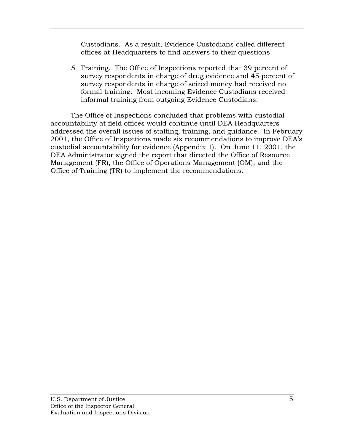Custodians. As a result, Evidence Custodians called different offices at Headquarters to find answers to their questions.

*5.* Training. The Office of Inspections reported that 39 percent of survey respondents in charge of drug evidence and 45 percent of survey respondents in charge of seized money had received no formal training. Most incoming Evidence Custodians received informal training from outgoing Evidence Custodians.

The Office of Inspections concluded that problems with custodial accountability at field offices would continue until DEA Headquarters addressed the overall issues of staffing, training, and guidance. In February 2001, the Office of Inspections made six recommendations to improve DEA's custodial accountability for evidence (Appendix 1). On June 11, 2001, the DEA Administrator signed the report that directed the Office of Resource Management (FR), the Office of Operations Management (OM), and the Office of Training (TR) to implement the recommendations.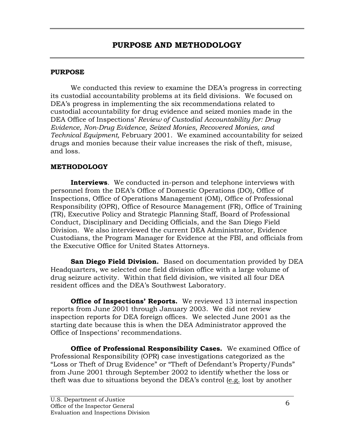### **PURPOSE**

We conducted this review to examine the DEA's progress in correcting its custodial accountability problems at its field divisions. We focused on DEA's progress in implementing the six recommendations related to custodial accountability for drug evidence and seized monies made in the DEA Office of Inspections' *Review of Custodial Accountability for: Drug Evidence, Non-Drug Evidence, Seized Monies, Recovered Monies, and Technical Equipment,* February 2001. We examined accountability for seized drugs and monies because their value increases the risk of theft, misuse, and loss.

### **METHODOLOGY**

**Interviews**. We conducted in-person and telephone interviews with personnel from the DEA's Office of Domestic Operations (DO), Office of Inspections, Office of Operations Management (OM), Office of Professional Responsibility (OPR), Office of Resource Management (FR), Office of Training (TR), Executive Policy and Strategic Planning Staff, Board of Professional Conduct, Disciplinary and Deciding Officials, and the San Diego Field Division. We also interviewed the current DEA Administrator, Evidence Custodians, the Program Manager for Evidence at the FBI, and officials from the Executive Office for United States Attorneys.

**San Diego Field Division.** Based on documentation provided by DEA Headquarters, we selected one field division office with a large volume of drug seizure activity. Within that field division, we visited all four DEA resident offices and the DEA's Southwest Laboratory.

**Office of Inspections' Reports.** We reviewed 13 internal inspection reports from June 2001 through January 2003. We did not review inspection reports for DEA foreign offices. We selected June 2001 as the starting date because this is when the DEA Administrator approved the Office of Inspections' recommendations.

**Office of Professional Responsibility Cases.** We examined Office of Professional Responsibility (OPR) case investigations categorized as the "Loss or Theft of Drug Evidence" or "Theft of Defendant's Property/Funds" from June 2001 through September 2002 to identify whether the loss or theft was due to situations beyond the DEA's control (e.g. lost by another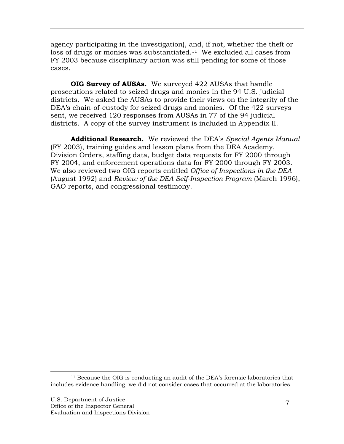agency participating in the investigation), and, if not, whether the theft or loss of drugs or monies was substantiated.<sup>11</sup> We excluded all cases from FY 2003 because disciplinary action was still pending for some of those cases.

**OIG Survey of AUSAs.** We surveyed 422 AUSAs that handle prosecutions related to seized drugs and monies in the 94 U.S. judicial districts. We asked the AUSAs to provide their views on the integrity of the DEA's chain-of-custody for seized drugs and monies. Of the 422 surveys sent, we received 120 responses from AUSAs in 77 of the 94 judicial districts. A copy of the survey instrument is included in Appendix II.

**Additional Research.** We reviewed the DEA's *Special Agents Manual* (FY 2003), training guides and lesson plans from the DEA Academy, Division Orders, staffing data, budget data requests for FY 2000 through FY 2004, and enforcement operations data for FY 2000 through FY 2003. We also reviewed two OIG reports entitled *Office of Inspections in the DEA* (August 1992) and *Review of the DEA Self-Inspection Program* (March 1996), GAO reports, and congressional testimony.

 <sup>11</sup> Because the OIG is conducting an audit of the DEA's forensic laboratories that includes evidence handling, we did not consider cases that occurred at the laboratories.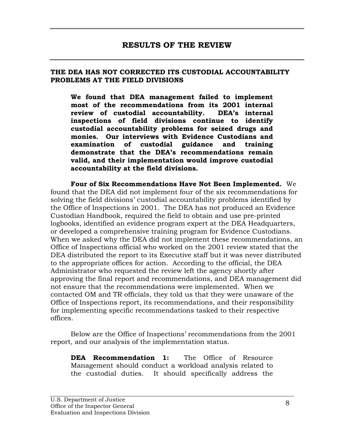#### **THE DEA HAS NOT CORRECTED ITS CUSTODIAL ACCOUNTABILITY PROBLEMS AT THE FIELD DIVISIONS**

**We found that DEA management failed to implement most of the recommendations from its 2001 internal review of custodial accountability. DEA's internal inspections of field divisions continue to identify custodial accountability problems for seized drugs and monies. Our interviews with Evidence Custodians and examination of custodial guidance and training demonstrate that the DEA's recommendations remain valid, and their implementation would improve custodial accountability at the field divisions.** 

**Four of Six Recommendations Have Not Been Implemented.** We found that the DEA did not implement four of the six recommendations for solving the field divisions' custodial accountability problems identified by the Office of Inspections in 2001. The DEA has not produced an Evidence Custodian Handbook, required the field to obtain and use pre-printed logbooks, identified an evidence program expert at the DEA Headquarters, or developed a comprehensive training program for Evidence Custodians. When we asked why the DEA did not implement these recommendations, an Office of Inspections official who worked on the 2001 review stated that the DEA distributed the report to its Executive staff but it was never distributed to the appropriate offices for action. According to the official, the DEA Administrator who requested the review left the agency shortly after approving the final report and recommendations, and DEA management did not ensure that the recommendations were implemented. When we contacted OM and TR officials, they told us that they were unaware of the Office of Inspections report, its recommendations, and their responsibility for implementing specific recommendations tasked to their respective offices.

Below are the Office of Inspections' recommendations from the 2001 report, and our analysis of the implementation status.

**DEA Recommendation 1:** The Office of Resource Management should conduct a workload analysis related to the custodial duties. It should specifically address the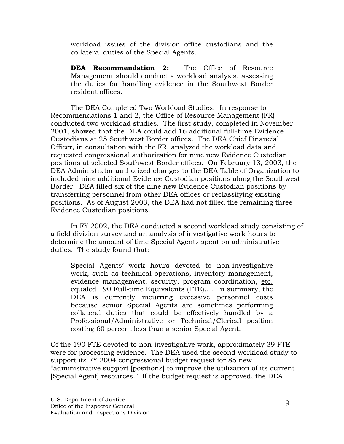workload issues of the division office custodians and the collateral duties of the Special Agents.

**DEA Recommendation 2:** The Office of Resource Management should conduct a workload analysis, assessing the duties for handling evidence in the Southwest Border resident offices.

The DEA Completed Two Workload Studies.In response to Recommendations 1 and 2, the Office of Resource Management (FR) conducted two workload studies. The first study, completed in November 2001, showed that the DEA could add 16 additional full-time Evidence Custodians at 25 Southwest Border offices. The DEA Chief Financial Officer, in consultation with the FR, analyzed the workload data and requested congressional authorization for nine new Evidence Custodian positions at selected Southwest Border offices. On February 13, 2003, the DEA Administrator authorized changes to the DEA Table of Organization to included nine additional Evidence Custodian positions along the Southwest Border. DEA filled six of the nine new Evidence Custodian positions by transferring personnel from other DEA offices or reclassifying existing positions. As of August 2003, the DEA had not filled the remaining three Evidence Custodian positions.

In FY 2002, the DEA conducted a second workload study consisting of a field division survey and an analysis of investigative work hours to determine the amount of time Special Agents spent on administrative duties. The study found that:

Special Agents' work hours devoted to non-investigative work, such as technical operations, inventory management, evidence management, security, program coordination, etc. equaled 190 Full-time Equivalents (FTE)…. In summary, the DEA is currently incurring excessive personnel costs because senior Special Agents are sometimes performing collateral duties that could be effectively handled by a Professional/Administrative or Technical/Clerical position costing 60 percent less than a senior Special Agent.

Of the 190 FTE devoted to non-investigative work, approximately 39 FTE were for processing evidence. The DEA used the second workload study to support its FY 2004 congressional budget request for 85 new "administrative support [positions] to improve the utilization of its current [Special Agent] resources." If the budget request is approved, the DEA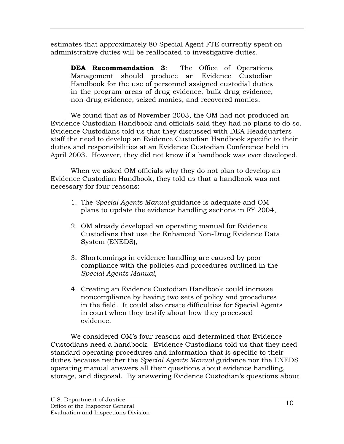estimates that approximately 80 Special Agent FTE currently spent on administrative duties will be reallocated to investigative duties.

**DEA Recommendation 3**: The Office of Operations Management should produce an Evidence Custodian Handbook for the use of personnel assigned custodial duties in the program areas of drug evidence, bulk drug evidence, non-drug evidence, seized monies, and recovered monies.

We found that as of November 2003, the OM had not produced an Evidence Custodian Handbook and officials said they had no plans to do so. Evidence Custodians told us that they discussed with DEA Headquarters staff the need to develop an Evidence Custodian Handbook specific to their duties and responsibilities at an Evidence Custodian Conference held in April 2003. However, they did not know if a handbook was ever developed.

When we asked OM officials why they do not plan to develop an Evidence Custodian Handbook, they told us that a handbook was not necessary for four reasons:

- 1. The *Special Agents Manual* guidance is adequate and OM plans to update the evidence handling sections in FY 2004,
- 2. OM already developed an operating manual for Evidence Custodians that use the Enhanced Non-Drug Evidence Data System (ENEDS),
- 3. Shortcomings in evidence handling are caused by poor compliance with the policies and procedures outlined in the *Special Agents Manual*,
- 4. Creating an Evidence Custodian Handbook could increase noncompliance by having two sets of policy and procedures in the field. It could also create difficulties for Special Agents in court when they testify about how they processed evidence.

 We considered OM's four reasons and determined that Evidence Custodians need a handbook. Evidence Custodians told us that they need standard operating procedures and information that is specific to their duties because neither the *Special Agents Manual* guidance nor the ENEDS operating manual answers all their questions about evidence handling, storage, and disposal. By answering Evidence Custodian's questions about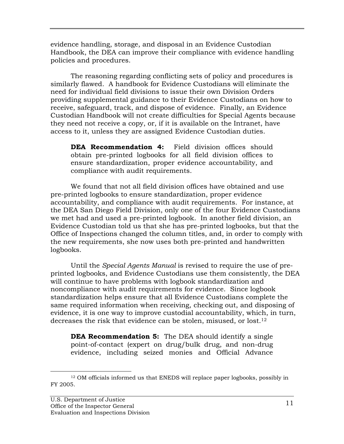evidence handling, storage, and disposal in an Evidence Custodian Handbook, the DEA can improve their compliance with evidence handling policies and procedures.

The reasoning regarding conflicting sets of policy and procedures is similarly flawed. A handbook for Evidence Custodians will eliminate the need for individual field divisions to issue their own Division Orders providing supplemental guidance to their Evidence Custodians on how to receive, safeguard, track, and dispose of evidence. Finally, an Evidence Custodian Handbook will not create difficulties for Special Agents because they need not receive a copy, or, if it is available on the Intranet, have access to it, unless they are assigned Evidence Custodian duties.

**DEA Recommendation 4:** Field division offices should obtain pre-printed logbooks for all field division offices to ensure standardization, proper evidence accountability, and compliance with audit requirements.

We found that not all field division offices have obtained and use pre-printed logbooks to ensure standardization, proper evidence accountability, and compliance with audit requirements. For instance, at the DEA San Diego Field Division, only one of the four Evidence Custodians we met had and used a pre-printed logbook. In another field division, an Evidence Custodian told us that she has pre-printed logbooks, but that the Office of Inspections changed the column titles, and, in order to comply with the new requirements, she now uses both pre-printed and handwritten logbooks.

Until the *Special Agents Manual* is revised to require the use of preprinted logbooks, and Evidence Custodians use them consistently, the DEA will continue to have problems with logbook standardization and noncompliance with audit requirements for evidence. Since logbook standardization helps ensure that all Evidence Custodians complete the same required information when receiving, checking out, and disposing of evidence, it is one way to improve custodial accountability, which, in turn, decreases the risk that evidence can be stolen, misused, or lost.<sup>12</sup>

**DEA Recommendation 5:** The DEA should identify a single point-of-contact (expert on drug/bulk drug, and non-drug evidence, including seized monies and Official Advance

 <sup>12</sup> OM officials informed us that ENEDS will replace paper logbooks, possibly in FY 2005.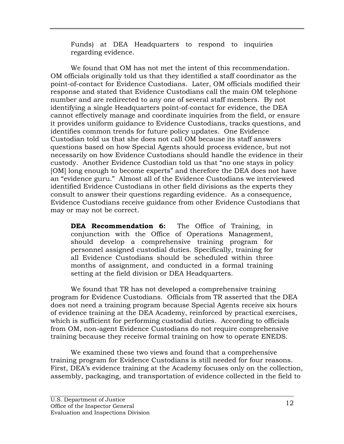Funds) at DEA Headquarters to respond to inquiries regarding evidence.

We found that OM has not met the intent of this recommendation. OM officials originally told us that they identified a staff coordinator as the point-of-contact for Evidence Custodians. Later, OM officials modified their response and stated that Evidence Custodians call the main OM telephone number and are redirected to any one of several staff members. By not identifying a single Headquarters point-of-contact for evidence, the DEA cannot effectively manage and coordinate inquiries from the field, or ensure it provides uniform guidance to Evidence Custodians, tracks questions, and identifies common trends for future policy updates. One Evidence Custodian told us that she does not call OM because its staff answers questions based on how Special Agents should process evidence, but not necessarily on how Evidence Custodians should handle the evidence in their custody. Another Evidence Custodian told us that "no one stays in policy [OM] long enough to become experts" and therefore the DEA does not have an "evidence guru." Almost all of the Evidence Custodians we interviewed identified Evidence Custodians in other field divisions as the experts they consult to answer their questions regarding evidence. As a consequence, Evidence Custodians receive guidance from other Evidence Custodians that may or may not be correct*.*

**DEA Recommendation 6:** The Office of Training, in conjunction with the Office of Operations Management, should develop a comprehensive training program for personnel assigned custodial duties. Specifically, training for all Evidence Custodians should be scheduled within three months of assignment, and conducted in a formal training setting at the field division or DEA Headquarters.

We found that TR has not developed a comprehensive training program for Evidence Custodians. Officials from TR asserted that the DEA does not need a training program because Special Agents receive six hours of evidence training at the DEA Academy, reinforced by practical exercises, which is sufficient for performing custodial duties. According to officials from OM, non-agent Evidence Custodians do not require comprehensive training because they receive formal training on how to operate ENEDS.

We examined these two views and found that a comprehensive training program for Evidence Custodians is still needed for four reasons. First, DEA's evidence training at the Academy focuses only on the collection, assembly, packaging, and transportation of evidence collected in the field to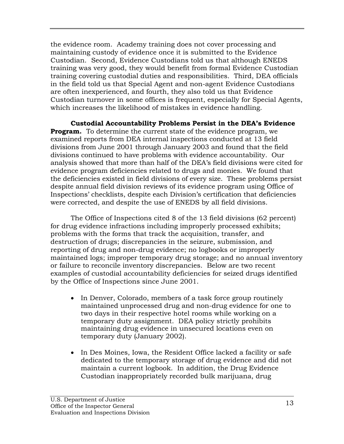the evidence room. Academy training does not cover processing and maintaining custody of evidence once it is submitted to the Evidence Custodian.Second, Evidence Custodians told us that although ENEDS training was very good, they would benefit from formal Evidence Custodian training covering custodial duties and responsibilities. Third, DEA officials in the field told us that Special Agent and non-agent Evidence Custodians are often inexperienced, and fourth, they also told us that Evidence Custodian turnover in some offices is frequent, especially for Special Agents, which increases the likelihood of mistakes in evidence handling.

**Custodial Accountability Problems Persist in the DEA's Evidence Program.** To determine the current state of the evidence program, we examined reports from DEA internal inspections conducted at 13 field divisions from June 2001 through January 2003 and found that the field divisions continued to have problems with evidence accountability. Our analysis showed that more than half of the DEA's field divisions were cited for evidence program deficiencies related to drugs and monies. We found that the deficiencies existed in field divisions of every size. These problems persist despite annual field division reviews of its evidence program using Office of Inspections' checklists, despite each Division's certification that deficiencies were corrected, and despite the use of ENEDS by all field divisions.

The Office of Inspections cited 8 of the 13 field divisions (62 percent) for drug evidence infractions including improperly processed exhibits; problems with the forms that track the acquisition, transfer, and destruction of drugs; discrepancies in the seizure, submission, and reporting of drug and non-drug evidence; no logbooks or improperly maintained logs; improper temporary drug storage; and no annual inventory or failure to reconcile inventory discrepancies. Below are two recent examples of custodial accountability deficiencies for seized drugs identified by the Office of Inspections since June 2001.

- In Denver, Colorado, members of a task force group routinely maintained unprocessed drug and non-drug evidence for one to two days in their respective hotel rooms while working on a temporary duty assignment. DEA policy strictly prohibits maintaining drug evidence in unsecured locations even on temporary duty (January 2002).
- In Des Moines, Iowa, the Resident Office lacked a facility or safe dedicated to the temporary storage of drug evidence and did not maintain a current logbook. In addition, the Drug Evidence Custodian inappropriately recorded bulk marijuana, drug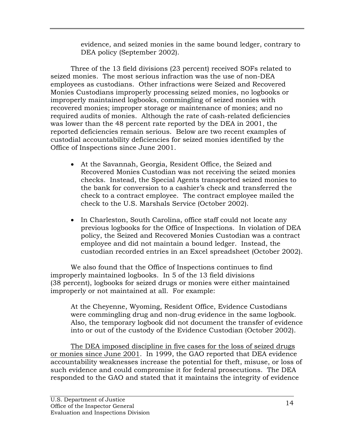evidence, and seized monies in the same bound ledger, contrary to DEA policy (September 2002).

Three of the 13 field divisions (23 percent) received SOFs related to seized monies. The most serious infraction was the use of non-DEA employees as custodians. Other infractions were Seized and Recovered Monies Custodians improperly processing seized monies, no logbooks or improperly maintained logbooks, commingling of seized monies with recovered monies; improper storage or maintenance of monies; and no required audits of monies. Although the rate of cash-related deficiencies was lower than the 48 percent rate reported by the DEA in 2001, the reported deficiencies remain serious. Below are two recent examples of custodial accountability deficiencies for seized monies identified by the Office of Inspections since June 2001.

- At the Savannah, Georgia, Resident Office, the Seized and Recovered Monies Custodian was not receiving the seized monies checks. Instead, the Special Agents transported seized monies to the bank for conversion to a cashier's check and transferred the check to a contract employee. The contract employee mailed the check to the U.S. Marshals Service (October 2002).
- In Charleston, South Carolina, office staff could not locate any previous logbooks for the Office of Inspections. In violation of DEA policy, the Seized and Recovered Monies Custodian was a contract employee and did not maintain a bound ledger. Instead, the custodian recorded entries in an Excel spreadsheet (October 2002).

We also found that the Office of Inspections continues to find improperly maintained logbooks. In 5 of the 13 field divisions (38 percent), logbooks for seized drugs or monies were either maintained improperly or not maintained at all. For example:

At the Cheyenne, Wyoming, Resident Office, Evidence Custodians were commingling drug and non-drug evidence in the same logbook. Also, the temporary logbook did not document the transfer of evidence into or out of the custody of the Evidence Custodian (October 2002).

The DEA imposed discipline in five cases for the loss of seized drugs or monies since June 2001. In 1999, the GAO reported that DEA evidence accountability weaknesses increase the potential for theft, misuse, or loss of such evidence and could compromise it for federal prosecutions. The DEA responded to the GAO and stated that it maintains the integrity of evidence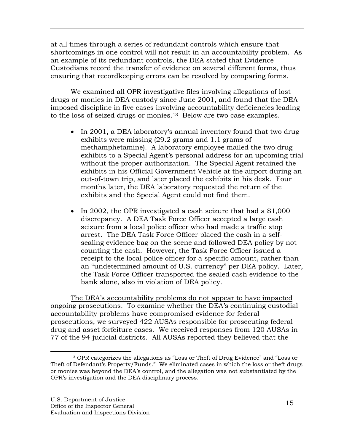at all times through a series of redundant controls which ensure that shortcomings in one control will not result in an accountability problem. As an example of its redundant controls, the DEA stated that Evidence Custodians record the transfer of evidence on several different forms, thus ensuring that recordkeeping errors can be resolved by comparing forms.

We examined all OPR investigative files involving allegations of lost drugs or monies in DEA custody since June 2001, and found that the DEA imposed discipline in five cases involving accountability deficiencies leading to the loss of seized drugs or monies.13 Below are two case examples.

- In 2001, a DEA laboratory's annual inventory found that two drug exhibits were missing (29.2 grams and 1.1 grams of methamphetamine). A laboratory employee mailed the two drug exhibits to a Special Agent's personal address for an upcoming trial without the proper authorization. The Special Agent retained the exhibits in his Official Government Vehicle at the airport during an out-of-town trip, and later placed the exhibits in his desk. Four months later, the DEA laboratory requested the return of the exhibits and the Special Agent could not find them.
- In 2002, the OPR investigated a cash seizure that had a \$1,000 discrepancy. A DEA Task Force Officer accepted a large cash seizure from a local police officer who had made a traffic stop arrest. The DEA Task Force Officer placed the cash in a selfsealing evidence bag on the scene and followed DEA policy by not counting the cash. However, the Task Force Officer issued a receipt to the local police officer for a specific amount, rather than an "undetermined amount of U.S. currency" per DEA policy. Later, the Task Force Officer transported the sealed cash evidence to the bank alone, also in violation of DEA policy.

The DEA's accountability problems do not appear to have impacted ongoing prosecutions*.* To examine whether the DEA's continuing custodial accountability problems have compromised evidence for federal prosecutions, we surveyed 422 AUSAs responsible for prosecuting federal drug and asset forfeiture cases. We received responses from 120 AUSAs in 77 of the 94 judicial districts. All AUSAs reported they believed that the

 <sup>13</sup> OPR categorizes the allegations as "Loss or Theft of Drug Evidence" and "Loss or Theft of Defendant's Property/Funds." We eliminated cases in which the loss or theft drugs or monies was beyond the DEA's control, and the allegation was not substantiated by the OPR's investigation and the DEA disciplinary process.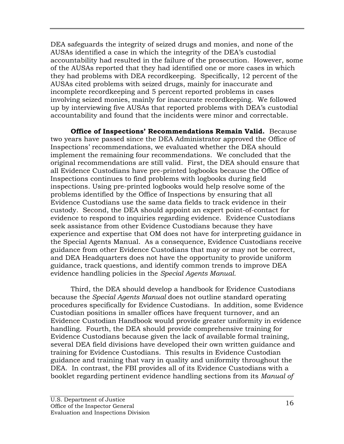DEA safeguards the integrity of seized drugs and monies, and none of the AUSAs identified a case in which the integrity of the DEA's custodial accountability had resulted in the failure of the prosecution. However, some of the AUSAs reported that they had identified one or more cases in which they had problems with DEA recordkeeping. Specifically, 12 percent of the AUSAs cited problems with seized drugs, mainly for inaccurate and incomplete recordkeeping and 5 percent reported problems in cases involving seized monies, mainly for inaccurate recordkeeping. We followed up by interviewing five AUSAs that reported problems with DEA's custodial accountability and found that the incidents were minor and correctable.

**Office of Inspections' Recommendations Remain Valid.** Because two years have passed since the DEA Administrator approved the Office of Inspections' recommendations, we evaluated whether the DEA should implement the remaining four recommendations. We concluded that the original recommendations are still valid. First, the DEA should ensure that all Evidence Custodians have pre-printed logbooks because the Office of Inspections continues to find problems with logbooks during field inspections. Using pre-printed logbooks would help resolve some of the problems identified by the Office of Inspections by ensuring that all Evidence Custodians use the same data fields to track evidence in their custody. Second, the DEA should appoint an expert point-of-contact for evidence to respond to inquiries regarding evidence. Evidence Custodians seek assistance from other Evidence Custodians because they have experience and expertise that OM does not have for interpreting guidance in the Special Agents Manual. As a consequence, Evidence Custodians receive guidance from other Evidence Custodians that may or may not be correct, and DEA Headquarters does not have the opportunity to provide uniform guidance, track questions, and identify common trends to improve DEA evidence handling policies in the *Special Agents Manual.*

Third, the DEA should develop a handbook for Evidence Custodians because the *Special Agents Manual* does not outline standard operating procedures specifically for Evidence Custodians. In addition, some Evidence Custodian positions in smaller offices have frequent turnover, and an Evidence Custodian Handbook would provide greater uniformity in evidence handling. Fourth, the DEA should provide comprehensive training for Evidence Custodians because given the lack of available formal training, several DEA field divisions have developed their own written guidance and training for Evidence Custodians. This results in Evidence Custodian guidance and training that vary in quality and uniformity throughout the DEA. In contrast, the FBI provides all of its Evidence Custodians with a booklet regarding pertinent evidence handling sections from its *Manual of*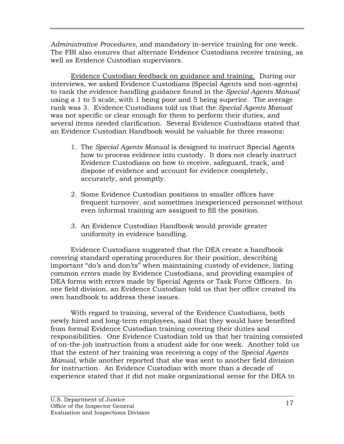*Administrative Procedures*, and mandatory in-service training for one week. The FBI also ensures that alternate Evidence Custodians receive training, as well as Evidence Custodian supervisors.

Evidence Custodian feedback on guidance and training. During our interviews, we asked Evidence Custodians (Special Agents and non-agents) to rank the evidence handling guidance found in the *Special Agents Manual*  using a 1 to 5 scale, with 1 being poor and 5 being superior. The average rank was 3. Evidence Custodians told us that the *Special Agents Manual* was not specific or clear enough for them to perform their duties, and several items needed clarification. Several Evidence Custodians stated that an Evidence Custodian Handbook would be valuable for three reasons:

- 1. The *Special Agents Manual* is designed to instruct Special Agents how to process evidence into custody. It does not clearly instruct Evidence Custodians on how to receive, safeguard, track, and dispose of evidence and account for evidence completely, accurately, and promptly.
- 2. Some Evidence Custodian positions in smaller offices have frequent turnover, and sometimes inexperienced personnel without even informal training are assigned to fill the position.
- 3. An Evidence Custodian Handbook would provide greater uniformity in evidence handling.

Evidence Custodians suggested that the DEA create a handbook covering standard operating procedures for their position, describing important "do's and don'ts" when maintaining custody of evidence, listing common errors made by Evidence Custodians, and providing examples of DEA forms with errors made by Special Agents or Task Force Officers. In one field division, an Evidence Custodian told us that her office created its own handbook to address these issues.

With regard to training, several of the Evidence Custodians, both newly hired and long-term employees, said that they would have benefited from formal Evidence Custodian training covering their duties and responsibilities. One Evidence Custodian told us that her training consisted of on-the-job instruction from a student aide for one week. Another told us that the extent of her training was receiving a copy of the *Special Agents Manual,* while another reported that she was sent to another field division for instruction. An Evidence Custodian with more than a decade of experience stated that it did not make organizational sense for the DEA to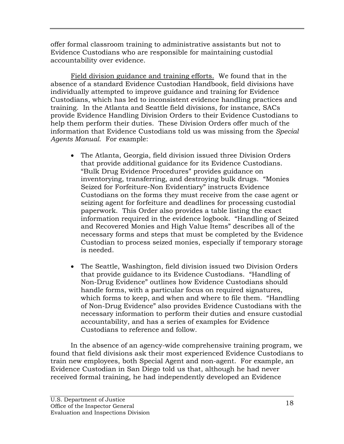offer formal classroom training to administrative assistants but not to Evidence Custodians who are responsible for maintaining custodial accountability over evidence.

Field division guidance and training efforts. We found that in the absence of a standard Evidence Custodian Handbook, field divisions have individually attempted to improve guidance and training for Evidence Custodians, which has led to inconsistent evidence handling practices and training. In the Atlanta and Seattle field divisions, for instance, SACs provide Evidence Handling Division Orders to their Evidence Custodians to help them perform their duties. These Division Orders offer much of the information that Evidence Custodians told us was missing from the *Special Agents Manual*. For example:

- The Atlanta, Georgia, field division issued three Division Orders that provide additional guidance for its Evidence Custodians. "Bulk Drug Evidence Procedures" provides guidance on inventorying, transferring, and destroying bulk drugs. "Monies Seized for Forfeiture-Non Evidentiary" instructs Evidence Custodians on the forms they must receive from the case agent or seizing agent for forfeiture and deadlines for processing custodial paperwork. This Order also provides a table listing the exact information required in the evidence logbook. "Handling of Seized and Recovered Monies and High Value Items" describes all of the necessary forms and steps that must be completed by the Evidence Custodian to process seized monies, especially if temporary storage is needed.
- The Seattle, Washington, field division issued two Division Orders that provide guidance to its Evidence Custodians. "Handling of Non-Drug Evidence" outlines how Evidence Custodians should handle forms, with a particular focus on required signatures, which forms to keep, and when and where to file them. "Handling of Non-Drug Evidence" also provides Evidence Custodians with the necessary information to perform their duties and ensure custodial accountability, and has a series of examples for Evidence Custodians to reference and follow.

In the absence of an agency-wide comprehensive training program, we found that field divisions ask their most experienced Evidence Custodians to train new employees, both Special Agent and non-agent. For example, an Evidence Custodian in San Diego told us that, although he had never received formal training, he had independently developed an Evidence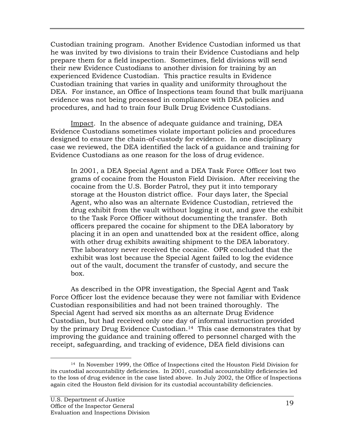Custodian training program. Another Evidence Custodian informed us that he was invited by two divisions to train their Evidence Custodians and help prepare them for a field inspection. Sometimes, field divisions will send their new Evidence Custodians to another division for training by an experienced Evidence Custodian. This practice results in Evidence Custodian training that varies in quality and uniformity throughout the DEA. For instance, an Office of Inspections team found that bulk marijuana evidence was not being processed in compliance with DEA policies and procedures, and had to train four Bulk Drug Evidence Custodians.

Impact. In the absence of adequate guidance and training, DEA Evidence Custodians sometimes violate important policies and procedures designed to ensure the chain-of-custody for evidence. In one disciplinary case we reviewed, the DEA identified the lack of a guidance and training for Evidence Custodians as one reason for the loss of drug evidence.

In 2001, a DEA Special Agent and a DEA Task Force Officer lost two grams of cocaine from the Houston Field Division. After receiving the cocaine from the U.S. Border Patrol, they put it into temporary storage at the Houston district office. Four days later, the Special Agent, who also was an alternate Evidence Custodian, retrieved the drug exhibit from the vault without logging it out, and gave the exhibit to the Task Force Officer without documenting the transfer. Both officers prepared the cocaine for shipment to the DEA laboratory by placing it in an open and unattended box at the resident office, along with other drug exhibits awaiting shipment to the DEA laboratory. The laboratory never received the cocaine. OPR concluded that the exhibit was lost because the Special Agent failed to log the evidence out of the vault, document the transfer of custody, and secure the box.

As described in the OPR investigation, the Special Agent and Task Force Officer lost the evidence because they were not familiar with Evidence Custodian responsibilities and had not been trained thoroughly. The Special Agent had served six months as an alternate Drug Evidence Custodian, but had received only one day of informal instruction provided by the primary Drug Evidence Custodian.<sup>14</sup> This case demonstrates that by improving the guidance and training offered to personnel charged with the receipt, safeguarding, and tracking of evidence, DEA field divisions can

 <sup>14</sup> In November 1999, the Office of Inspections cited the Houston Field Division for its custodial accountability deficiencies. In 2001, custodial accountability deficiencies led to the loss of drug evidence in the case listed above. In July 2002, the Office of Inspections again cited the Houston field division for its custodial accountability deficiencies.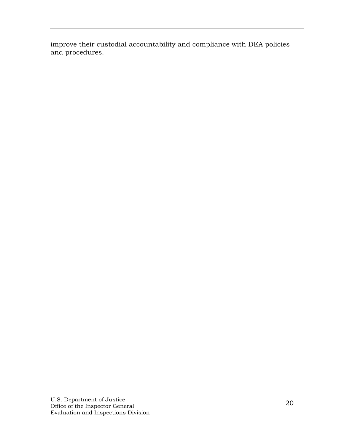improve their custodial accountability and compliance with DEA policies and procedures.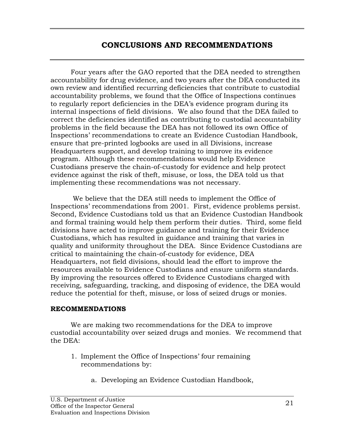# **CONCLUSIONS AND RECOMMENDATIONS**

Four years after the GAO reported that the DEA needed to strengthen accountability for drug evidence, and two years after the DEA conducted its own review and identified recurring deficiencies that contribute to custodial accountability problems, we found that the Office of Inspections continues to regularly report deficiencies in the DEA's evidence program during its internal inspections of field divisions. We also found that the DEA failed to correct the deficiencies identified as contributing to custodial accountability problems in the field because the DEA has not followed its own Office of Inspections' recommendations to create an Evidence Custodian Handbook, ensure that pre-printed logbooks are used in all Divisions, increase Headquarters support, and develop training to improve its evidence program. Although these recommendations would help Evidence Custodians preserve the chain-of-custody for evidence and help protect evidence against the risk of theft, misuse, or loss, the DEA told us that implementing these recommendations was not necessary.

 We believe that the DEA still needs to implement the Office of Inspections' recommendations from 2001. First, evidence problems persist. Second, Evidence Custodians told us that an Evidence Custodian Handbook and formal training would help them perform their duties. Third, some field divisions have acted to improve guidance and training for their Evidence Custodians, which has resulted in guidance and training that varies in quality and uniformity throughout the DEA. Since Evidence Custodians are critical to maintaining the chain-of-custody for evidence, DEA Headquarters, not field divisions, should lead the effort to improve the resources available to Evidence Custodians and ensure uniform standards. By improving the resources offered to Evidence Custodians charged with receiving, safeguarding, tracking, and disposing of evidence, the DEA would reduce the potential for theft, misuse, or loss of seized drugs or monies.

#### **RECOMMENDATIONS**

 We are making two recommendations for the DEA to improve custodial accountability over seized drugs and monies. We recommend that the DEA:

- 1. Implement the Office of Inspections' four remaining recommendations by:
	- a. Developing an Evidence Custodian Handbook,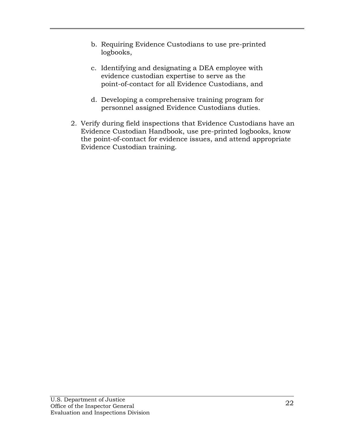- b. Requiring Evidence Custodians to use pre-printed logbooks,
- c. Identifying and designating a DEA employee with evidence custodian expertise to serve as the point-of-contact for all Evidence Custodians, and
- d. Developing a comprehensive training program for personnel assigned Evidence Custodians duties.
- 2. Verify during field inspections that Evidence Custodians have an Evidence Custodian Handbook, use pre-printed logbooks, know the point-of-contact for evidence issues, and attend appropriate Evidence Custodian training.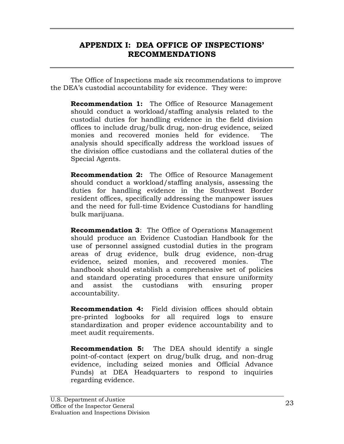# **APPENDIX I: DEA OFFICE OF INSPECTIONS' RECOMMENDATIONS**

The Office of Inspections made six recommendations to improve the DEA's custodial accountability for evidence. They were:

**Recommendation 1:** The Office of Resource Management should conduct a workload/staffing analysis related to the custodial duties for handling evidence in the field division offices to include drug/bulk drug, non-drug evidence, seized monies and recovered monies held for evidence. The analysis should specifically address the workload issues of the division office custodians and the collateral duties of the Special Agents.

**Recommendation 2:** The Office of Resource Management should conduct a workload/staffing analysis, assessing the duties for handling evidence in the Southwest Border resident offices, specifically addressing the manpower issues and the need for full-time Evidence Custodians for handling bulk marijuana.

**Recommendation 3**: The Office of Operations Management should produce an Evidence Custodian Handbook for the use of personnel assigned custodial duties in the program areas of drug evidence, bulk drug evidence, non-drug evidence, seized monies, and recovered monies. The handbook should establish a comprehensive set of policies and standard operating procedures that ensure uniformity and assist the custodians with ensuring proper accountability.

**Recommendation 4:** Field division offices should obtain pre-printed logbooks for all required logs to ensure standardization and proper evidence accountability and to meet audit requirements.

**Recommendation 5:** The DEA should identify a single point-of-contact (expert on drug/bulk drug, and non-drug evidence, including seized monies and Official Advance Funds) at DEA Headquarters to respond to inquiries regarding evidence.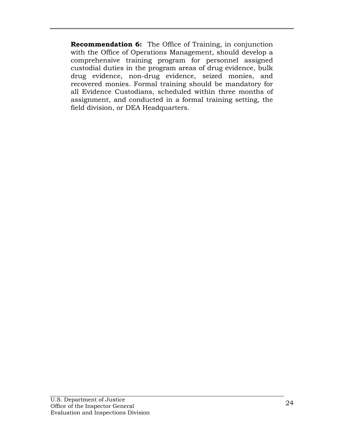**Recommendation 6:** The Office of Training, in conjunction with the Office of Operations Management, should develop a comprehensive training program for personnel assigned custodial duties in the program areas of drug evidence, bulk drug evidence, non-drug evidence, seized monies, and recovered monies. Formal training should be mandatory for all Evidence Custodians, scheduled within three months of assignment, and conducted in a formal training setting, the field division, or DEA Headquarters.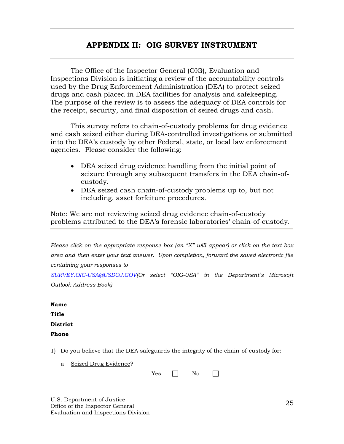# **APPENDIX II: OIG SURVEY INSTRUMENT**

The Office of the Inspector General (OIG), Evaluation and Inspections Division is initiating a review of the accountability controls used by the Drug Enforcement Administration (DEA) to protect seized drugs and cash placed in DEA facilities for analysis and safekeeping. The purpose of the review is to assess the adequacy of DEA controls for the receipt, security, and final disposition of seized drugs and cash.

This survey refers to chain-of-custody problems for drug evidence and cash seized either during DEA-controlled investigations or submitted into the DEA's custody by other Federal, state, or local law enforcement agencies. Please consider the following:

- DEA seized drug evidence handling from the initial point of seizure through any subsequent transfers in the DEA chain-ofcustody.
- DEA seized cash chain-of-custody problems up to, but not including, asset forfeiture procedures.

Note: We are not reviewing seized drug evidence chain-of-custody problems attributed to the DEA's forensic laboratories' chain-of-custody.

*Please click on the appropriate response box (an "X" will appear) or click on the text box area and then enter your text answer. Upon completion, forward the saved electronic file containing your responses to* 

*SURVEY.OIG-USA@USDOJ.GOV(Or select "OIG-USA" in the Department's Microsoft Outlook Address Book)* 

| Name            |
|-----------------|
| Title           |
| <b>District</b> |

**Phone** 

1) Do you believe that the DEA safeguards the integrity of the chain-of-custody for:

a Seized Drug Evidence?

| <b>XZ</b><br>ρq<br>. . |  | NΩ |
|------------------------|--|----|
|------------------------|--|----|

 $\Box$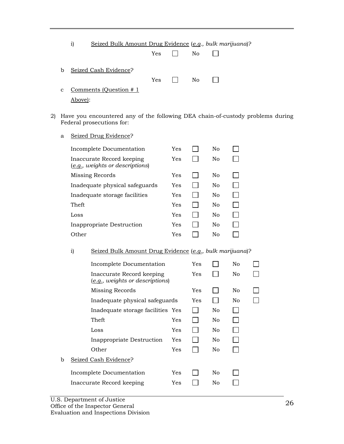|   | 1)      | Seized Bulk Amount Drug Evidence (e.g., bulk marijuana)? |     |              |     |  |
|---|---------|----------------------------------------------------------|-----|--------------|-----|--|
|   |         |                                                          | Yes |              | No  |  |
| b |         | Seized Cash Evidence?                                    | Yes | $\mathbf{1}$ | No. |  |
| C | Above): | Comments (Question # 1)                                  |     |              |     |  |

- 2) Have you encountered any of the following DEA chain-of-custody problems during Federal prosecutions for:
	- a Seized Drug Evidence?

| Incomplete Documentation                                     | Yes | Nο |  |
|--------------------------------------------------------------|-----|----|--|
| Inaccurate Record keeping<br>(e.g., weights or descriptions) | Yes | No |  |
| Missing Records                                              | Yes | No |  |
| Inadequate physical safeguards                               | Yes | No |  |
| Inadequate storage facilities                                | Yes | No |  |
| Theft                                                        | Yes | No |  |
| Loss                                                         | Yes | No |  |
| Inappropriate Destruction                                    | Yes | No |  |
| Other                                                        | Yes | Nο |  |

#### i) Seized Bulk Amount Drug Evidence (*e.g., bulk marijuana*)?

|   | Incomplete Documentation                                            | Yes |          | No  |  |
|---|---------------------------------------------------------------------|-----|----------|-----|--|
|   | Inaccurate Record keeping<br>(e.g., weights or descriptions)        | Yes |          | No. |  |
|   | Missing Records                                                     | Yes |          | No  |  |
|   | Inadequate physical safeguards                                      | Yes |          | No. |  |
|   | Inadequate storage facilities Yes                                   |     | No       |     |  |
|   | Theft<br>Yes                                                        |     | No       |     |  |
|   | Yes<br>Loss                                                         |     | No       |     |  |
|   | Inappropriate Destruction<br>Yes                                    |     | No       |     |  |
|   | Yes<br>Other                                                        |     | No       |     |  |
| b | Seized Cash Evidence?                                               |     |          |     |  |
|   | Yes<br>Incomplete Documentation<br>Inaccurate Record keeping<br>Yes |     | No<br>No |     |  |
|   |                                                                     |     |          |     |  |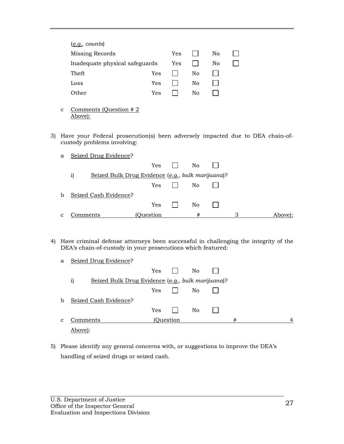| (e.g., counts)                 |     |     |    |    |  |
|--------------------------------|-----|-----|----|----|--|
| Missing Records                |     | Yes |    | No |  |
| Inadequate physical safeguards |     | Yes |    | No |  |
| Theft                          | Yes |     | No |    |  |
| Loss                           | Yes |     | No |    |  |
| Other                          | Yes |     | No |    |  |

- c Comments (Question  $# 2$ Above):
- 3) Have your Federal prosecution(s) been adversely impacted due to DEA chain-ofcustody problems involving:

| a            | Seized Drug Evidence?                                             |           |              |    |   |         |
|--------------|-------------------------------------------------------------------|-----------|--------------|----|---|---------|
|              |                                                                   | Yes       | $\mathbf{L}$ | No |   |         |
|              | Seized Bulk Drug Evidence (e.g., bulk marijuana)?<br>$\mathbf{i}$ |           |              |    |   |         |
|              |                                                                   | Yes       |              | No |   |         |
| b            | Seized Cash Evidence?                                             |           |              |    |   |         |
|              |                                                                   | Yes       |              | No |   |         |
| $\mathbf{C}$ | Comments                                                          | (Ouestion |              | #  | З | Above): |

4) Have criminal defense attorneys been successful in challenging the integrity of the DEA's chain-of-custody in your prosecutions which featured:

| a | Seized Drug Evidence?                                             |            |           |    |   |  |
|---|-------------------------------------------------------------------|------------|-----------|----|---|--|
|   |                                                                   | Yes        |           | No |   |  |
|   | $\mathbf{i}$<br>Seized Bulk Drug Evidence (e.g., bulk marijuana)? |            |           |    |   |  |
|   |                                                                   | Yes        |           | No |   |  |
| b | Seized Cash Evidence?                                             |            |           |    |   |  |
|   |                                                                   | <b>Yes</b> |           | No |   |  |
| C | Comments                                                          |            | (Ouestion |    | # |  |
|   | Above):                                                           |            |           |    |   |  |

5) Please identify any general concerns with, or suggestions to improve the DEA's handling of seized drugs or seized cash.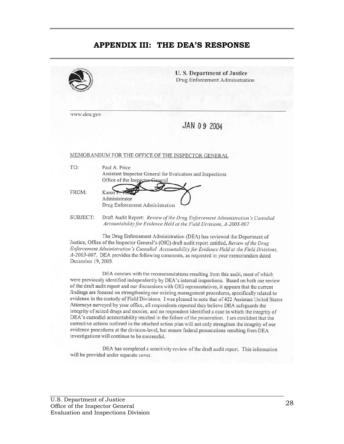### **APPENDIX III: THE DEA'S RESPONSE**

|             | U.S. Department of Justice<br>Drug Enforcement Administration                                                                                                                                       |
|-------------|-----------------------------------------------------------------------------------------------------------------------------------------------------------------------------------------------------|
| www.dea.gov |                                                                                                                                                                                                     |
|             | JAN 09 2004                                                                                                                                                                                         |
|             |                                                                                                                                                                                                     |
|             |                                                                                                                                                                                                     |
|             | MEMORANDUM FOR THE OFFICE OF THE INSPECTOR GENERAL                                                                                                                                                  |
| TO:         | Paul A. Price                                                                                                                                                                                       |
|             | Assistant Inspector General for Evaluation and Inspections                                                                                                                                          |
|             | Office of the Inspector General                                                                                                                                                                     |
| FROM:       | Karen P. Tang                                                                                                                                                                                       |
|             | Administrator                                                                                                                                                                                       |
|             | Drug Enforcement Administration                                                                                                                                                                     |
| SUBJECT:    | Draft Audit Report: Review of the Drug Enforcement Administration's Custodial                                                                                                                       |
|             | Accountability for Evidence Held at the Field Divisions, A-2003-007                                                                                                                                 |
|             |                                                                                                                                                                                                     |
|             | The Drug Enforcement Administration (DEA) has reviewed the Department of                                                                                                                            |
|             | Justice, Office of the Inspector General's (OIG) draft audit report entitled, Review of the Drug<br>Enforcement Administration's Custodial Accountability for Evidence Held at the Field Divisions, |
|             | A-2003-007. DEA provides the following comments, as requested in your memorandum dated                                                                                                              |

December 19, 2003.

DEA concurs with the recommendations resulting from this audit, most of which were previously identified independently by DEA's internal inspections. Based on both our review of the draft audit report and our discussions with OIG representatives, it appears that the current findings are focused on strengthening our existing management procedures, specifically related to evidence in the custody of Field Divisions. I was pleased to note that of 422 Assistant United States Attorneys surveyed by your office, all respondents reported they believe DEA safeguards the integrity of seized drugs and monies, and no respondent identified a case in which the integrity of DEA's custodial accountability resulted in the failure of the prosecution. I am confident that the corrective actions outlined in the attached action plan will not only strengthen the integrity of our evidence procedures at the division-level, but ensure federal prosecutions resulting from DEA investigations will continue to be successful.

DEA has completed a sensitivity review of the draft audit report. This information will be provided under separate cover.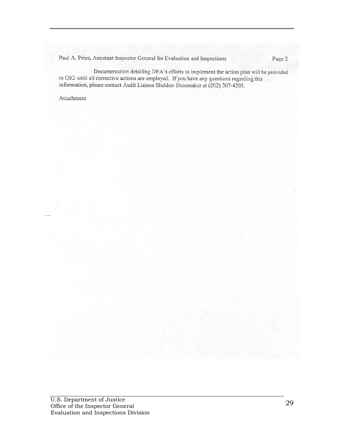Paul A. Price, Assistant Inspector General for Evaluation and Inspections

Documentation detailing DEA's efforts to implement the action plan will be provided to OIG until all corrective actions are employed. If you have any questions regarding this information, please contact Audit Liaison Sheldon Shoemaker at (202) 307-4205.

Attachment

Page 2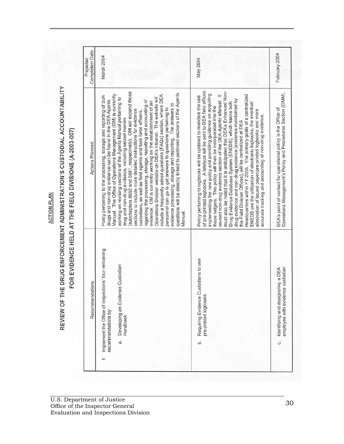**ACTION PLAN** 

REVIEW OF THE DRUG ENFORCEMENT ADMINISTRATION'S CUSTODIAL ACCOUNTABILITY

FOR EVIDENCE HELD AT THE FIELD DIVISIONS (A-2003-007)

| Recommendations                                                                         |
|-----------------------------------------------------------------------------------------|
| Implement the Office of Inspections' four remaining<br>Developing an Evidence Custodian |
| Requiring Evidence Custodians to use                                                    |
| employee with evidence custodian<br>Identifying and designating a DEA                   |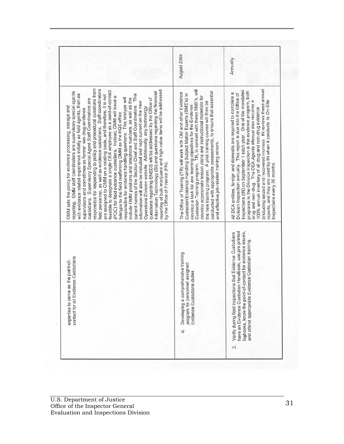|                                                                                                                                                                                                                                                                                                                                                                                                                                                                                                                                                                                                                                                                                                                                                                                                                                                                                                                                                                                                                                                                                                                                                                                                                                                                                                                                  | August 2004                                                                                                                                                                                                                                                                                                                                                                                                                                                                                                                    | Annually                                                                                                                                                                                                                                                                                                                                                                                                                                                                                                                                                                       |
|----------------------------------------------------------------------------------------------------------------------------------------------------------------------------------------------------------------------------------------------------------------------------------------------------------------------------------------------------------------------------------------------------------------------------------------------------------------------------------------------------------------------------------------------------------------------------------------------------------------------------------------------------------------------------------------------------------------------------------------------------------------------------------------------------------------------------------------------------------------------------------------------------------------------------------------------------------------------------------------------------------------------------------------------------------------------------------------------------------------------------------------------------------------------------------------------------------------------------------------------------------------------------------------------------------------------------------|--------------------------------------------------------------------------------------------------------------------------------------------------------------------------------------------------------------------------------------------------------------------------------------------------------------------------------------------------------------------------------------------------------------------------------------------------------------------------------------------------------------------------------|--------------------------------------------------------------------------------------------------------------------------------------------------------------------------------------------------------------------------------------------------------------------------------------------------------------------------------------------------------------------------------------------------------------------------------------------------------------------------------------------------------------------------------------------------------------------------------|
| responsible for responding to policy and procedural questions from<br>field personnel, as well as evidence custodians. Staff coordinators<br>reporting of bulk marijuana and high-value items will be addressed<br>feasible to designate a single DEA employee as a point-of-contact<br>reporting. OMM staff coordinators are supervisory special agents<br>Information Technology (SI) and questions regarding the financial<br>with evidence related experience initially as field agents, then as<br>current names of the Section Chief and Staff Coordinators. This<br>are assigned to OMM on a rotating basis, and therefore, it is not<br>(POC) for field evidence custodians. Instead, OMM will issue a<br>responsible for evidence handling questions. This teletype will<br>include OMM positions and telephone numbers, as well as the<br>questions regarding ENEDS will be addressed by the Office of<br>custodians. Supervisory Special Agent Staff Coordinators are<br>information will also be included and kept current on the new<br>OMM sets the policy for evidence processing, storage and<br>Operations Division website. Additionally, any technology<br>supervisors and sometimes as former non-drug evidence<br>teletype to the field reaffirming OMM as the HQS office<br>by the Office of Finance (FN). | Custodian Training program. TR, in concert with these SME's, will<br>conducted with appropriate assessments, to ensure that essential<br>The Office of Training (TR) will work with OM and other Evidence<br>Custodian/Evidence Handling Subject Matter Experts (SME's) to<br>develop appropriate lesson plans and instructional materials for<br>the new training program. A pilot training course will then be<br>develop a task list and learning objectives for the Evidence<br>and effective job-related training occurs. | (including seized and recovered monies). IN reviews these annual<br>Inspections (IN) on September 1 each year. One of the mandated<br>programs in the Division Inspection is the evidence program, both<br>All DEA entities, foreign and domestic are required to complete a<br>Division Inspection annually. This report is due into the Office of<br>reports, and they are used by IN when it conducts its On-Site<br>a<br>drug and non-drug. The DEA Agents Manual also requires<br>100% annual inventory of all drug and non-drug evidence<br>Inspections every 36 months. |
| contact for all Evidence Custodians<br>expertise to serve as the point-of-                                                                                                                                                                                                                                                                                                                                                                                                                                                                                                                                                                                                                                                                                                                                                                                                                                                                                                                                                                                                                                                                                                                                                                                                                                                       | Developing a comprehensive training<br>program for personnel assigned<br>Evidence Custodians duties<br>ಕ                                                                                                                                                                                                                                                                                                                                                                                                                       | have an Evidence Custodian Handbook, use pre-printed<br>logbooks, know the point-of-contact for evidence issues,<br>Verify during field inspections that Evidence Custodians<br>and attend appropriate Evidence Custodian training.<br>$\mathcal{L}$                                                                                                                                                                                                                                                                                                                           |

 $\ddot{\phantom{a}}$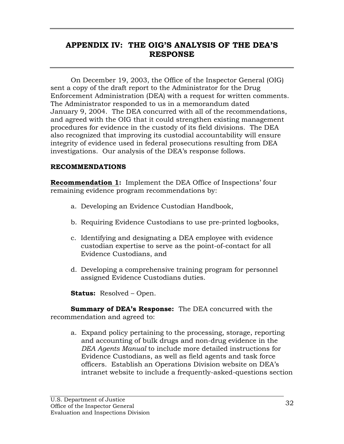# **APPENDIX IV: THE OIG'S ANALYSIS OF THE DEA'S RESPONSE**

On December 19, 2003, the Office of the Inspector General (OIG) sent a copy of the draft report to the Administrator for the Drug Enforcement Administration (DEA) with a request for written comments. The Administrator responded to us in a memorandum dated January 9, 2004. The DEA concurred with all of the recommendations, and agreed with the OIG that it could strengthen existing management procedures for evidence in the custody of its field divisions. The DEA also recognized that improving its custodial accountability will ensure integrity of evidence used in federal prosecutions resulting from DEA investigations. Our analysis of the DEA's response follows.

### **RECOMMENDATIONS**

**Recommendation 1:** Implement the DEA Office of Inspections' four remaining evidence program recommendations by:

- a. Developing an Evidence Custodian Handbook,
- b. Requiring Evidence Custodians to use pre-printed logbooks,
- c. Identifying and designating a DEA employee with evidence custodian expertise to serve as the point-of-contact for all Evidence Custodians, and
- d. Developing a comprehensive training program for personnel assigned Evidence Custodians duties.

**Status:** Resolved – Open.

**Summary of DEA's Response:** The DEA concurred with the recommendation and agreed to:

a. Expand policy pertaining to the processing, storage, reporting and accounting of bulk drugs and non-drug evidence in the *DEA Agents Manual* to include more detailed instructions for Evidence Custodians, as well as field agents and task force officers. Establish an Operations Division website on DEA's intranet website to include a frequently-asked-questions section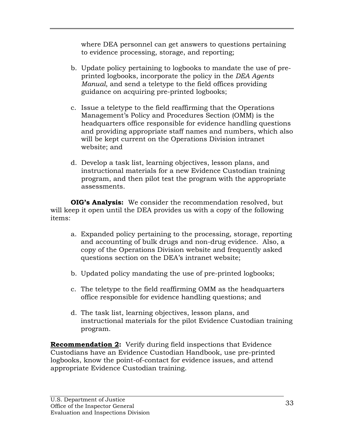where DEA personnel can get answers to questions pertaining to evidence processing, storage, and reporting;

- b. Update policy pertaining to logbooks to mandate the use of preprinted logbooks, incorporate the policy in the *DEA Agents Manual*, and send a teletype to the field offices providing guidance on acquiring pre-printed logbooks;
- c. Issue a teletype to the field reaffirming that the Operations Management's Policy and Procedures Section (OMM) is the headquarters office responsible for evidence handling questions and providing appropriate staff names and numbers, which also will be kept current on the Operations Division intranet website; and
- d. Develop a task list, learning objectives, lesson plans, and instructional materials for a new Evidence Custodian training program, and then pilot test the program with the appropriate assessments.

**OIG's Analysis:** We consider the recommendation resolved, but will keep it open until the DEA provides us with a copy of the following items:

- a. Expanded policy pertaining to the processing, storage, reporting and accounting of bulk drugs and non-drug evidence. Also, a copy of the Operations Division website and frequently asked questions section on the DEA's intranet website;
- b. Updated policy mandating the use of pre-printed logbooks;
- c. The teletype to the field reaffirming OMM as the headquarters office responsible for evidence handling questions; and
- d. The task list, learning objectives, lesson plans, and instructional materials for the pilot Evidence Custodian training program.

**Recommendation 2:** Verify during field inspections that Evidence Custodians have an Evidence Custodian Handbook, use pre-printed logbooks, know the point-of-contact for evidence issues, and attend appropriate Evidence Custodian training.